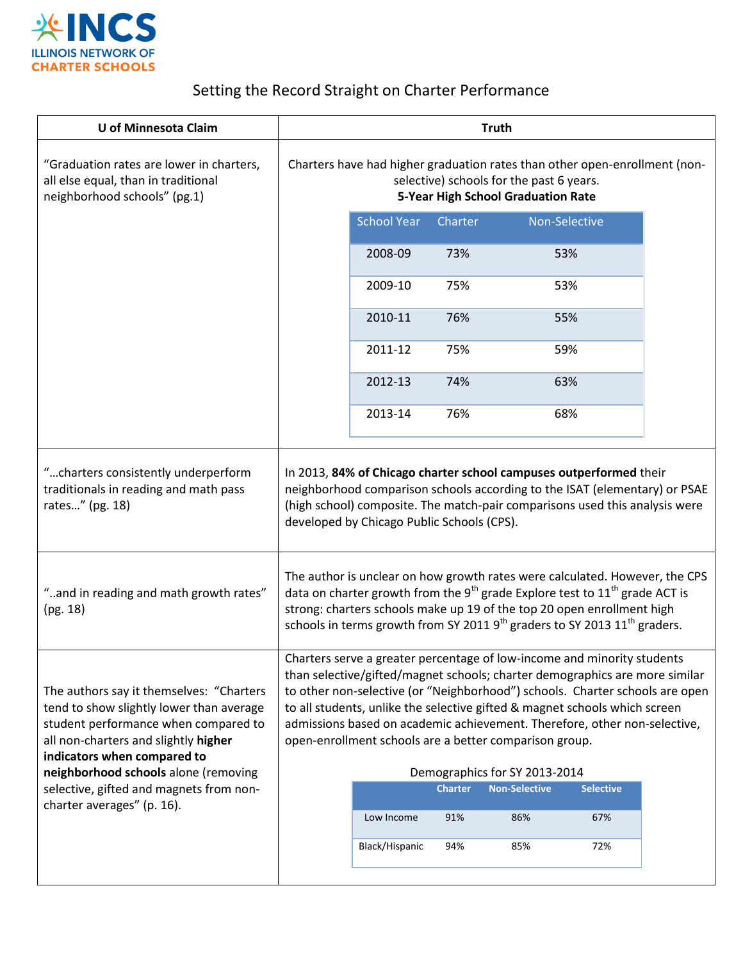

## Setting the Record Straight on Charter Performance

| U of Minnesota Claim                                                                                                                                                                                | <b>Truth</b>                                                                                                                                                                                                                                                                                                                                                                                                                                                |                    |         |               |     |  |
|-----------------------------------------------------------------------------------------------------------------------------------------------------------------------------------------------------|-------------------------------------------------------------------------------------------------------------------------------------------------------------------------------------------------------------------------------------------------------------------------------------------------------------------------------------------------------------------------------------------------------------------------------------------------------------|--------------------|---------|---------------|-----|--|
| "Graduation rates are lower in charters,<br>all else equal, than in traditional<br>neighborhood schools" (pg.1)                                                                                     | Charters have had higher graduation rates than other open-enrollment (non-<br>selective) schools for the past 6 years.<br>5-Year High School Graduation Rate                                                                                                                                                                                                                                                                                                |                    |         |               |     |  |
|                                                                                                                                                                                                     |                                                                                                                                                                                                                                                                                                                                                                                                                                                             | <b>School Year</b> | Charter | Non-Selective |     |  |
|                                                                                                                                                                                                     |                                                                                                                                                                                                                                                                                                                                                                                                                                                             | 2008-09            | 73%     | 53%           |     |  |
|                                                                                                                                                                                                     |                                                                                                                                                                                                                                                                                                                                                                                                                                                             | 2009-10            | 75%     | 53%           |     |  |
|                                                                                                                                                                                                     |                                                                                                                                                                                                                                                                                                                                                                                                                                                             | 2010-11            | 76%     | 55%           |     |  |
|                                                                                                                                                                                                     |                                                                                                                                                                                                                                                                                                                                                                                                                                                             | 2011-12            | 75%     | 59%           |     |  |
|                                                                                                                                                                                                     |                                                                                                                                                                                                                                                                                                                                                                                                                                                             | 2012-13            | 74%     | 63%           |     |  |
|                                                                                                                                                                                                     |                                                                                                                                                                                                                                                                                                                                                                                                                                                             | 2013-14            | 76%     | 68%           |     |  |
| "charters consistently underperform<br>traditionals in reading and math pass<br>rates" (pg. 18)                                                                                                     | In 2013, 84% of Chicago charter school campuses outperformed their<br>neighborhood comparison schools according to the ISAT (elementary) or PSAE<br>(high school) composite. The match-pair comparisons used this analysis were<br>developed by Chicago Public Schools (CPS).                                                                                                                                                                               |                    |         |               |     |  |
| "and in reading and math growth rates"<br>(pg. 18)                                                                                                                                                  | The author is unclear on how growth rates were calculated. However, the CPS<br>data on charter growth from the 9 <sup>th</sup> grade Explore test to $11^{th}$ grade ACT is<br>strong: charters schools make up 19 of the top 20 open enrollment high<br>schools in terms growth from SY 2011 $9th$ graders to SY 2013 11 <sup>th</sup> graders.                                                                                                            |                    |         |               |     |  |
| The authors say it themselves: "Charters<br>tend to show slightly lower than average<br>student performance when compared to<br>all non-charters and slightly higher<br>indicators when compared to | Charters serve a greater percentage of low-income and minority students<br>than selective/gifted/magnet schools; charter demographics are more similar<br>to other non-selective (or "Neighborhood") schools. Charter schools are open<br>to all students, unlike the selective gifted & magnet schools which screen<br>admissions based on academic achievement. Therefore, other non-selective,<br>open-enrollment schools are a better comparison group. |                    |         |               |     |  |
| neighborhood schools alone (removing<br>selective, gifted and magnets from non-<br>charter averages" (p. 16).                                                                                       | Demographics for SY 2013-2014<br><b>Charter</b><br><b>Non-Selective</b><br><b>Selective</b>                                                                                                                                                                                                                                                                                                                                                                 |                    |         |               |     |  |
|                                                                                                                                                                                                     |                                                                                                                                                                                                                                                                                                                                                                                                                                                             | Low Income         | 91%     | 86%           | 67% |  |
|                                                                                                                                                                                                     |                                                                                                                                                                                                                                                                                                                                                                                                                                                             | Black/Hispanic     | 94%     | 85%           | 72% |  |
|                                                                                                                                                                                                     |                                                                                                                                                                                                                                                                                                                                                                                                                                                             |                    |         |               |     |  |